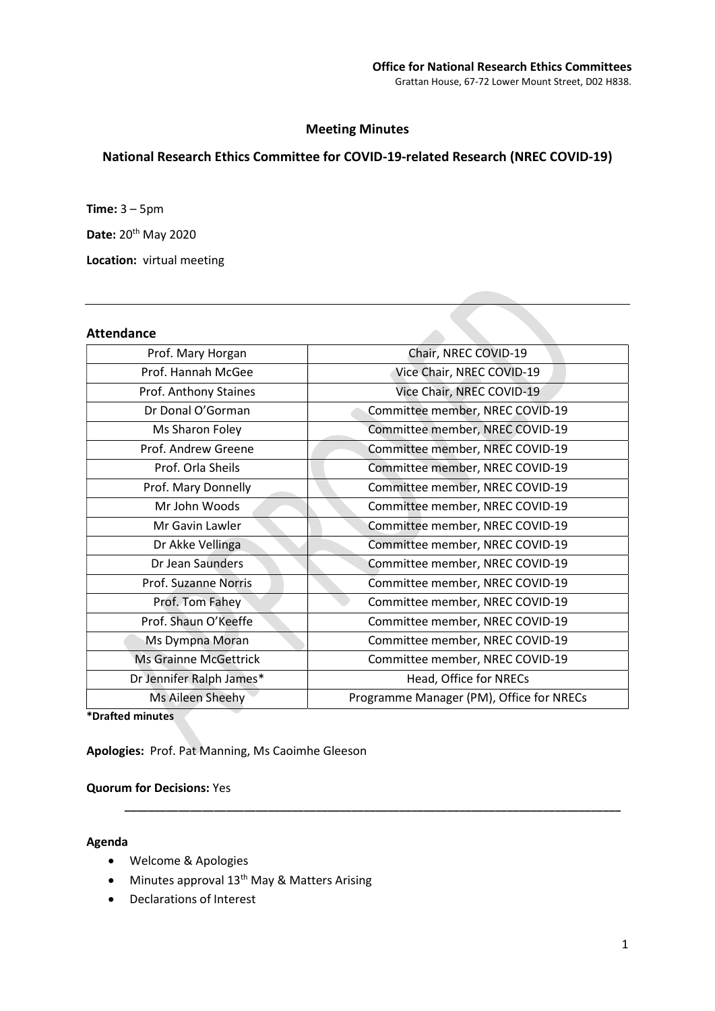## Meeting Minutes

# National Research Ethics Committee for COVID-19-related Research (NREC COVID-19)

Time: 3 – 5pm

Date: 20<sup>th</sup> May 2020

Location: virtual meeting

## Attendance

| Prof. Mary Horgan            | Chair, NREC COVID-19                     |
|------------------------------|------------------------------------------|
| Prof. Hannah McGee           | Vice Chair, NREC COVID-19                |
| Prof. Anthony Staines        | Vice Chair, NREC COVID-19                |
| Dr Donal O'Gorman            | Committee member, NREC COVID-19          |
| Ms Sharon Foley              | Committee member, NREC COVID-19          |
| Prof. Andrew Greene          | Committee member, NREC COVID-19          |
| Prof. Orla Sheils            | Committee member, NREC COVID-19          |
| Prof. Mary Donnelly          | Committee member, NREC COVID-19          |
| Mr John Woods                | Committee member, NREC COVID-19          |
| Mr Gavin Lawler              | Committee member, NREC COVID-19          |
| Dr Akke Vellinga             | Committee member, NREC COVID-19          |
| Dr Jean Saunders             | Committee member, NREC COVID-19          |
| Prof. Suzanne Norris         | Committee member, NREC COVID-19          |
| Prof. Tom Fahey              | Committee member, NREC COVID-19          |
| Prof. Shaun O'Keeffe         | Committee member, NREC COVID-19          |
| Ms Dympna Moran              | Committee member, NREC COVID-19          |
| <b>Ms Grainne McGettrick</b> | Committee member, NREC COVID-19          |
| Dr Jennifer Ralph James*     | Head, Office for NRECs                   |
| Ms Aileen Sheehy             | Programme Manager (PM), Office for NRECs |
|                              |                                          |

\_\_\_\_\_\_\_\_\_\_\_\_\_\_\_\_\_\_\_\_\_\_\_\_\_\_\_\_\_\_\_\_\_\_\_\_\_\_\_\_\_\_\_\_\_\_\_\_\_\_\_\_\_\_\_\_\_\_\_\_\_\_\_\_\_\_\_\_\_\_\_\_\_\_\_\_\_\_\_\_\_\_\_

\*Drafted minutes

Apologies: Prof. Pat Manning, Ms Caoimhe Gleeson

## Quorum for Decisions: Yes

#### Agenda

- Welcome & Apologies
- $\bullet$  Minutes approval 13<sup>th</sup> May & Matters Arising
- Declarations of Interest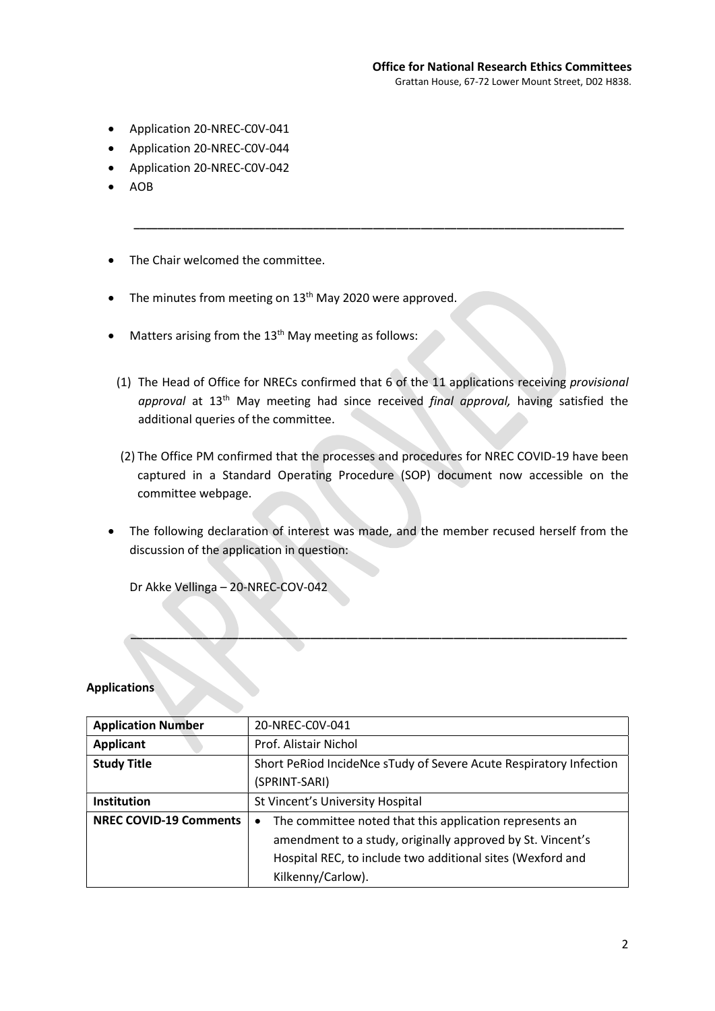- Application 20-NREC-C0V-041
- Application 20-NREC-C0V-044
- Application 20-NREC-C0V-042
- AOB
- The Chair welcomed the committee.
- The minutes from meeting on 13<sup>th</sup> May 2020 were approved.
- $\bullet$  Matters arising from the 13<sup>th</sup> May meeting as follows:
	- (1) The Head of Office for NRECs confirmed that 6 of the 11 applications receiving provisional approval at 13<sup>th</sup> May meeting had since received final approval, having satisfied the additional queries of the committee.

\_\_\_\_\_\_\_\_\_\_\_\_\_\_\_\_\_\_\_\_\_\_\_\_\_\_\_\_\_\_\_\_\_\_\_\_\_\_\_\_\_\_\_\_\_\_\_\_\_\_\_\_\_\_\_\_\_\_\_\_\_\_\_\_\_\_\_\_\_\_\_\_\_\_\_\_\_\_\_\_\_\_

- (2) The Office PM confirmed that the processes and procedures for NREC COVID-19 have been captured in a Standard Operating Procedure (SOP) document now accessible on the committee webpage.
- The following declaration of interest was made, and the member recused herself from the discussion of the application in question:

\_\_\_\_\_\_\_\_\_\_\_\_\_\_\_\_\_\_\_\_\_\_\_\_\_\_\_\_\_\_\_\_\_\_\_\_\_\_\_\_\_\_\_\_\_\_\_\_\_\_\_\_\_\_\_\_\_\_\_\_\_\_\_\_\_\_\_\_\_\_\_\_\_\_\_\_\_\_\_\_\_\_\_

Dr Akke Vellinga – 20-NREC-COV-042

#### **Applications**

| <b>Application Number</b>     | 20-NREC-COV-041                                                      |
|-------------------------------|----------------------------------------------------------------------|
| <b>Applicant</b>              | Prof. Alistair Nichol                                                |
| <b>Study Title</b>            | Short PeRiod IncideNce sTudy of Severe Acute Respiratory Infection   |
|                               | (SPRINT-SARI)                                                        |
| Institution                   | St Vincent's University Hospital                                     |
| <b>NREC COVID-19 Comments</b> | The committee noted that this application represents an<br>$\bullet$ |
|                               | amendment to a study, originally approved by St. Vincent's           |
|                               | Hospital REC, to include two additional sites (Wexford and           |
|                               | Kilkenny/Carlow).                                                    |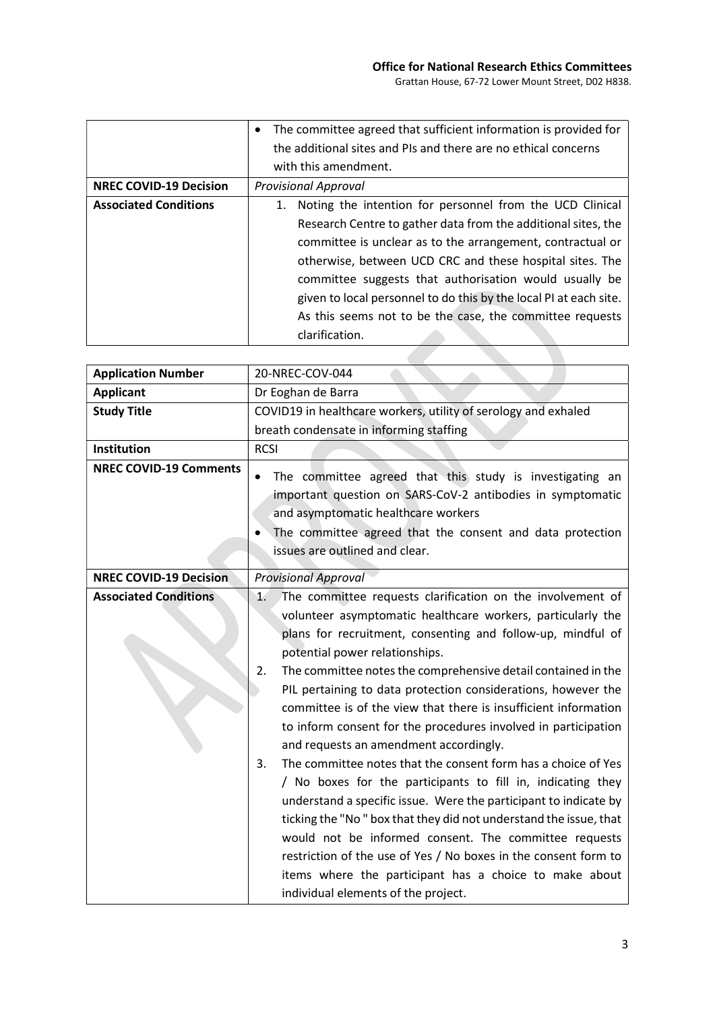|                               | • The committee agreed that sufficient information is provided for |
|-------------------------------|--------------------------------------------------------------------|
|                               | the additional sites and PIs and there are no ethical concerns     |
|                               | with this amendment.                                               |
| <b>NREC COVID-19 Decision</b> | <b>Provisional Approval</b>                                        |
| <b>Associated Conditions</b>  | Noting the intention for personnel from the UCD Clinical<br>1.     |
|                               | Research Centre to gather data from the additional sites, the      |
|                               | committee is unclear as to the arrangement, contractual or         |
|                               | otherwise, between UCD CRC and these hospital sites. The           |
|                               | committee suggests that authorisation would usually be             |
|                               | given to local personnel to do this by the local PI at each site.  |
|                               | As this seems not to be the case, the committee requests           |
|                               | clarification.                                                     |

a li

| <b>Application Number</b>     | 20-NREC-COV-044                                                                                                                                                                                                                                                                                                                                                                                                                                                                                                                                                                                                                                                                                                                                                                                                                                                                                                                                                                                                                                                     |
|-------------------------------|---------------------------------------------------------------------------------------------------------------------------------------------------------------------------------------------------------------------------------------------------------------------------------------------------------------------------------------------------------------------------------------------------------------------------------------------------------------------------------------------------------------------------------------------------------------------------------------------------------------------------------------------------------------------------------------------------------------------------------------------------------------------------------------------------------------------------------------------------------------------------------------------------------------------------------------------------------------------------------------------------------------------------------------------------------------------|
| <b>Applicant</b>              | Dr Eoghan de Barra                                                                                                                                                                                                                                                                                                                                                                                                                                                                                                                                                                                                                                                                                                                                                                                                                                                                                                                                                                                                                                                  |
| <b>Study Title</b>            | COVID19 in healthcare workers, utility of serology and exhaled                                                                                                                                                                                                                                                                                                                                                                                                                                                                                                                                                                                                                                                                                                                                                                                                                                                                                                                                                                                                      |
|                               | breath condensate in informing staffing                                                                                                                                                                                                                                                                                                                                                                                                                                                                                                                                                                                                                                                                                                                                                                                                                                                                                                                                                                                                                             |
| Institution                   | <b>RCSI</b>                                                                                                                                                                                                                                                                                                                                                                                                                                                                                                                                                                                                                                                                                                                                                                                                                                                                                                                                                                                                                                                         |
| <b>NREC COVID-19 Comments</b> | The committee agreed that this study is investigating an<br>٠<br>important question on SARS-CoV-2 antibodies in symptomatic<br>and asymptomatic healthcare workers<br>The committee agreed that the consent and data protection<br>issues are outlined and clear.                                                                                                                                                                                                                                                                                                                                                                                                                                                                                                                                                                                                                                                                                                                                                                                                   |
| <b>NREC COVID-19 Decision</b> | <b>Provisional Approval</b>                                                                                                                                                                                                                                                                                                                                                                                                                                                                                                                                                                                                                                                                                                                                                                                                                                                                                                                                                                                                                                         |
| <b>Associated Conditions</b>  | The committee requests clarification on the involvement of<br>1.<br>volunteer asymptomatic healthcare workers, particularly the<br>plans for recruitment, consenting and follow-up, mindful of<br>potential power relationships.<br>2.<br>The committee notes the comprehensive detail contained in the<br>PIL pertaining to data protection considerations, however the<br>committee is of the view that there is insufficient information<br>to inform consent for the procedures involved in participation<br>and requests an amendment accordingly.<br>The committee notes that the consent form has a choice of Yes<br>3.<br>/ No boxes for the participants to fill in, indicating they<br>understand a specific issue. Were the participant to indicate by<br>ticking the "No" box that they did not understand the issue, that<br>would not be informed consent. The committee requests<br>restriction of the use of Yes / No boxes in the consent form to<br>items where the participant has a choice to make about<br>individual elements of the project. |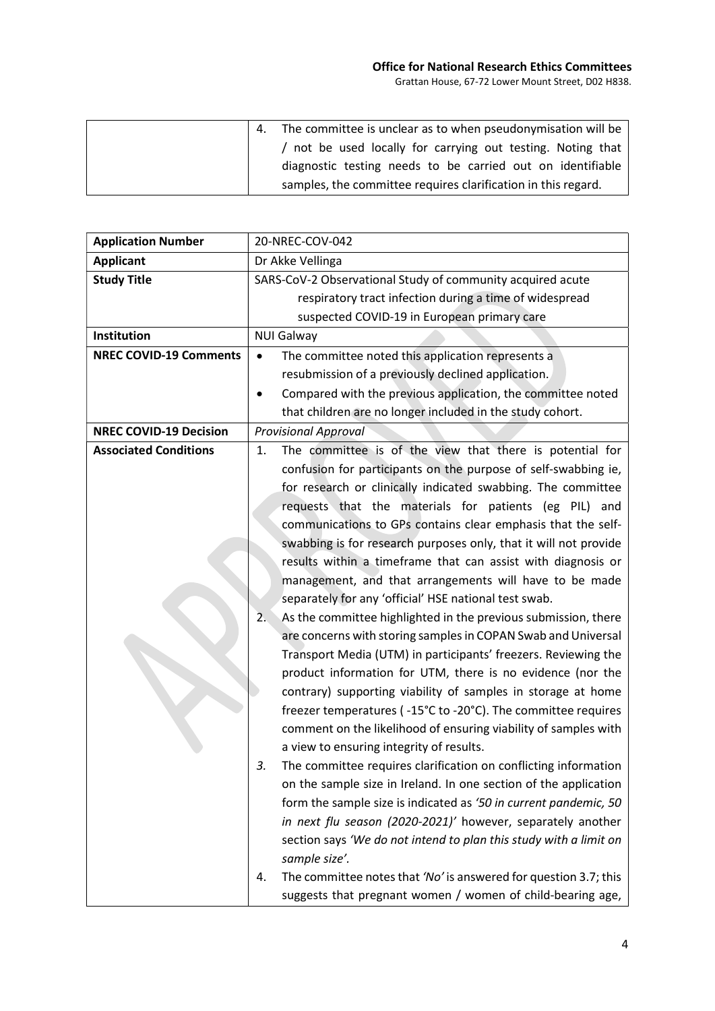## Office for National Research Ethics Committees Grattan House, 67-72 Lower Mount Street, D02 H838.

|  | The committee is unclear as to when pseudonymisation will be  |
|--|---------------------------------------------------------------|
|  | / not be used locally for carrying out testing. Noting that   |
|  | diagnostic testing needs to be carried out on identifiable    |
|  | samples, the committee requires clarification in this regard. |

| <b>Application Number</b>     | 20-NREC-COV-042                                                        |
|-------------------------------|------------------------------------------------------------------------|
| <b>Applicant</b>              | Dr Akke Vellinga                                                       |
| <b>Study Title</b>            | SARS-CoV-2 Observational Study of community acquired acute             |
|                               | respiratory tract infection during a time of widespread                |
|                               | suspected COVID-19 in European primary care                            |
| Institution                   | <b>NUI Galway</b>                                                      |
| <b>NREC COVID-19 Comments</b> | The committee noted this application represents a<br>$\bullet$         |
|                               | resubmission of a previously declined application.                     |
|                               | Compared with the previous application, the committee noted            |
|                               | that children are no longer included in the study cohort.              |
| <b>NREC COVID-19 Decision</b> | <b>Provisional Approval</b>                                            |
| <b>Associated Conditions</b>  | The committee is of the view that there is potential for<br>1.         |
|                               | confusion for participants on the purpose of self-swabbing ie,         |
|                               | for research or clinically indicated swabbing. The committee           |
|                               | requests that the materials for patients (eg PIL) and                  |
|                               | communications to GPs contains clear emphasis that the self-           |
|                               | swabbing is for research purposes only, that it will not provide       |
|                               | results within a timeframe that can assist with diagnosis or           |
|                               | management, and that arrangements will have to be made                 |
|                               | separately for any 'official' HSE national test swab.                  |
|                               | As the committee highlighted in the previous submission, there<br>2.   |
|                               | are concerns with storing samples in COPAN Swab and Universal          |
|                               | Transport Media (UTM) in participants' freezers. Reviewing the         |
|                               | product information for UTM, there is no evidence (nor the             |
|                               | contrary) supporting viability of samples in storage at home           |
|                               | freezer temperatures (-15°C to -20°C). The committee requires          |
|                               | comment on the likelihood of ensuring viability of samples with        |
|                               | a view to ensuring integrity of results.                               |
|                               | The committee requires clarification on conflicting information<br>3.  |
|                               | on the sample size in Ireland. In one section of the application       |
|                               | form the sample size is indicated as '50 in current pandemic, 50       |
|                               | in next flu season (2020-2021)' however, separately another            |
|                               | section says 'We do not intend to plan this study with a limit on      |
|                               | sample size'.                                                          |
|                               | The committee notes that 'No' is answered for question 3.7; this<br>4. |
|                               | suggests that pregnant women / women of child-bearing age,             |